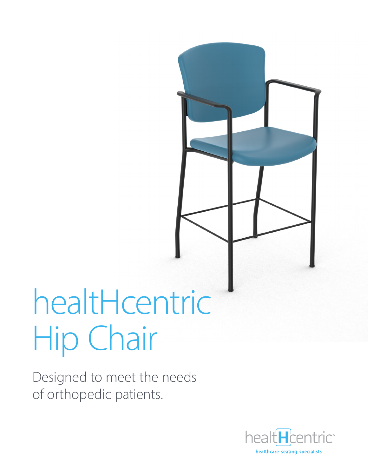# healtHcentric Hip Chair

Designed to meet the needs of orthopedic patients.